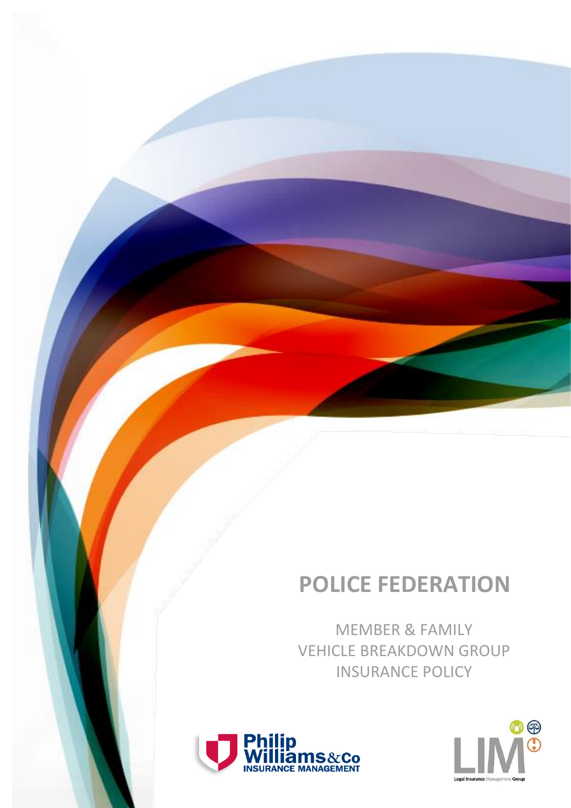# **POLICE FEDERATION**

MEMBER & FAMILY VEHICLE BREAKDOWN GROUP INSURANCE POLICY



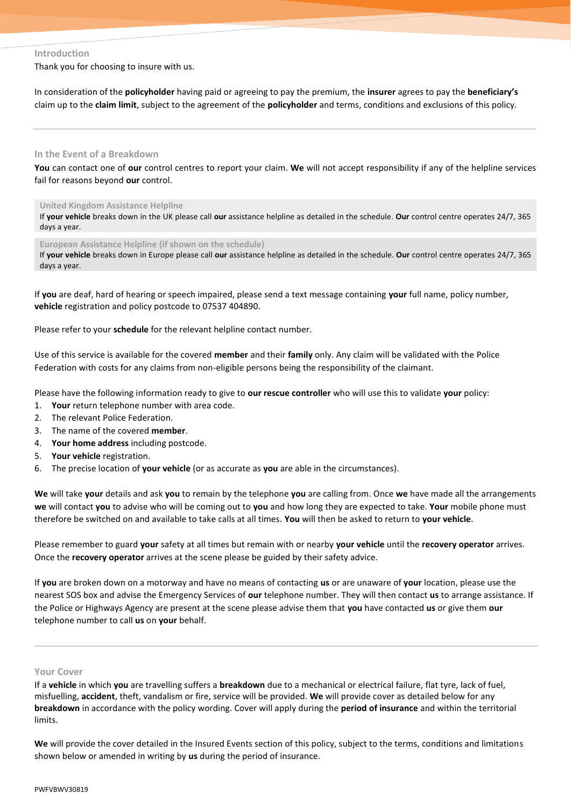# **Introduction**

Thank you for choosing to insure with us.

In consideration of the **policyholder** having paid or agreeing to pay the premium, the **insurer** agrees to pay the **beneficiary's** claim up to the **claim limit**, subject to the agreement of the **policyholder** and terms, conditions and exclusions of this policy.

# **In the Event of a Breakdown**

**You** can contact one of **our** control centres to report your claim. **We** will not accept responsibility if any of the helpline services fail for reasons beyond **our** control.

# **United Kingdom Assistance Helpline**

If **your vehicle** breaks down in the UK please call **our** assistance helpline as detailed in the schedule. **Our** control centre operates 24/7, 365 days a year.

**European Assistance Helpline (if shown on the schedule)**

If **your vehicle** breaks down in Europe please call **our** assistance helpline as detailed in the schedule. **Our** control centre operates 24/7, 365 days a year.

If **you** are deaf, hard of hearing or speech impaired, please send a text message containing **your** full name, policy number, **vehicle** registration and policy postcode to 07537 404890.

Please refer to your **schedule** for the relevant helpline contact number.

Use of this service is available for the covered **member** and their **family** only. Any claim will be validated with the Police Federation with costs for any claims from non-eligible persons being the responsibility of the claimant.

Please have the following information ready to give to **our rescue controller** who will use this to validate **your** policy:

- 1. **Your** return telephone number with area code.
- 2. The relevant Police Federation.
- 3. The name of the covered **member**.
- 4. **Your home address** including postcode.
- 5. **Your vehicle** registration.
- 6. The precise location of **your vehicle** (or as accurate as **you** are able in the circumstances).

**We** will take **your** details and ask **you** to remain by the telephone **you** are calling from. Once **we** have made all the arrangements **we** will contact **you** to advise who will be coming out to **you** and how long they are expected to take. **Your** mobile phone must therefore be switched on and available to take calls at all times. **You** will then be asked to return to **your vehicle**.

Please remember to guard **your** safety at all times but remain with or nearby **your vehicle** until the **recovery operator** arrives. Once the **recovery operator** arrives at the scene please be guided by their safety advice.

If **you** are broken down on a motorway and have no means of contacting **us** or are unaware of **your** location, please use the nearest SOS box and advise the Emergency Services of **our** telephone number. They will then contact **us** to arrange assistance. If the Police or Highways Agency are present at the scene please advise them that **you** have contacted **us** or give them **our** telephone number to call **us** on **your** behalf.

# **Your Cover**

If a **vehicle** in which **you** are travelling suffers a **breakdown** due to a mechanical or electrical failure, flat tyre, lack of fuel, misfuelling, **accident**, theft, vandalism or fire, service will be provided. **We** will provide cover as detailed below for any **breakdown** in accordance with the policy wording. Cover will apply during the **period of insurance** and within the territorial limits.

**We** will provide the cover detailed in the Insured Events section of this policy, subject to the terms, conditions and limitations shown below or amended in writing by **us** during the period of insurance.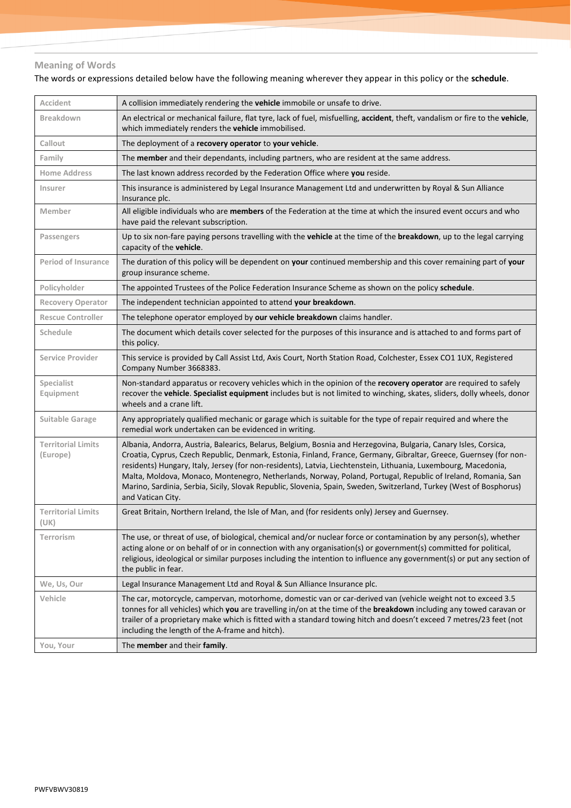# **Meaning of Words**

The words or expressions detailed below have the following meaning wherever they appear in this policy or the **schedule**.

| Accident                              | A collision immediately rendering the vehicle immobile or unsafe to drive.                                                                                                                                                                                                                                                                                                                                                                                                                                                                                                                                            |
|---------------------------------------|-----------------------------------------------------------------------------------------------------------------------------------------------------------------------------------------------------------------------------------------------------------------------------------------------------------------------------------------------------------------------------------------------------------------------------------------------------------------------------------------------------------------------------------------------------------------------------------------------------------------------|
| <b>Breakdown</b>                      | An electrical or mechanical failure, flat tyre, lack of fuel, misfuelling, accident, theft, vandalism or fire to the vehicle,<br>which immediately renders the vehicle immobilised.                                                                                                                                                                                                                                                                                                                                                                                                                                   |
| Callout                               | The deployment of a recovery operator to your vehicle.                                                                                                                                                                                                                                                                                                                                                                                                                                                                                                                                                                |
| Family                                | The member and their dependants, including partners, who are resident at the same address.                                                                                                                                                                                                                                                                                                                                                                                                                                                                                                                            |
| <b>Home Address</b>                   | The last known address recorded by the Federation Office where you reside.                                                                                                                                                                                                                                                                                                                                                                                                                                                                                                                                            |
| Insurer                               | This insurance is administered by Legal Insurance Management Ltd and underwritten by Royal & Sun Alliance<br>Insurance plc.                                                                                                                                                                                                                                                                                                                                                                                                                                                                                           |
| Member                                | All eligible individuals who are members of the Federation at the time at which the insured event occurs and who<br>have paid the relevant subscription.                                                                                                                                                                                                                                                                                                                                                                                                                                                              |
| Passengers                            | Up to six non-fare paying persons travelling with the vehicle at the time of the breakdown, up to the legal carrying<br>capacity of the vehicle.                                                                                                                                                                                                                                                                                                                                                                                                                                                                      |
| <b>Period of Insurance</b>            | The duration of this policy will be dependent on your continued membership and this cover remaining part of your<br>group insurance scheme.                                                                                                                                                                                                                                                                                                                                                                                                                                                                           |
| Policyholder                          | The appointed Trustees of the Police Federation Insurance Scheme as shown on the policy schedule.                                                                                                                                                                                                                                                                                                                                                                                                                                                                                                                     |
| <b>Recovery Operator</b>              | The independent technician appointed to attend your breakdown.                                                                                                                                                                                                                                                                                                                                                                                                                                                                                                                                                        |
| <b>Rescue Controller</b>              | The telephone operator employed by our vehicle breakdown claims handler.                                                                                                                                                                                                                                                                                                                                                                                                                                                                                                                                              |
| Schedule                              | The document which details cover selected for the purposes of this insurance and is attached to and forms part of<br>this policy.                                                                                                                                                                                                                                                                                                                                                                                                                                                                                     |
| <b>Service Provider</b>               | This service is provided by Call Assist Ltd, Axis Court, North Station Road, Colchester, Essex CO1 1UX, Registered<br>Company Number 3668383.                                                                                                                                                                                                                                                                                                                                                                                                                                                                         |
| Specialist<br>Equipment               | Non-standard apparatus or recovery vehicles which in the opinion of the recovery operator are required to safely<br>recover the vehicle. Specialist equipment includes but is not limited to winching, skates, sliders, dolly wheels, donor<br>wheels and a crane lift.                                                                                                                                                                                                                                                                                                                                               |
| <b>Suitable Garage</b>                | Any appropriately qualified mechanic or garage which is suitable for the type of repair required and where the<br>remedial work undertaken can be evidenced in writing.                                                                                                                                                                                                                                                                                                                                                                                                                                               |
| <b>Territorial Limits</b><br>(Europe) | Albania, Andorra, Austria, Balearics, Belarus, Belgium, Bosnia and Herzegovina, Bulgaria, Canary Isles, Corsica,<br>Croatia, Cyprus, Czech Republic, Denmark, Estonia, Finland, France, Germany, Gibraltar, Greece, Guernsey (for non-<br>residents) Hungary, Italy, Jersey (for non-residents), Latvia, Liechtenstein, Lithuania, Luxembourg, Macedonia,<br>Malta, Moldova, Monaco, Montenegro, Netherlands, Norway, Poland, Portugal, Republic of Ireland, Romania, San<br>Marino, Sardinia, Serbia, Sicily, Slovak Republic, Slovenia, Spain, Sweden, Switzerland, Turkey (West of Bosphorus)<br>and Vatican City. |
| <b>Territorial Limits</b><br>(UK)     | Great Britain, Northern Ireland, the Isle of Man, and (for residents only) Jersey and Guernsey.                                                                                                                                                                                                                                                                                                                                                                                                                                                                                                                       |
| Terrorism                             | The use, or threat of use, of biological, chemical and/or nuclear force or contamination by any person(s), whether<br>acting alone or on behalf of or in connection with any organisation(s) or government(s) committed for political,<br>religious, ideological or similar purposes including the intention to influence any government(s) or put any section of<br>the public in fear.                                                                                                                                                                                                                              |
| We, Us, Our                           | Legal Insurance Management Ltd and Royal & Sun Alliance Insurance plc.                                                                                                                                                                                                                                                                                                                                                                                                                                                                                                                                                |
| Vehicle                               | The car, motorcycle, campervan, motorhome, domestic van or car-derived van (vehicle weight not to exceed 3.5<br>tonnes for all vehicles) which you are travelling in/on at the time of the breakdown including any towed caravan or<br>trailer of a proprietary make which is fitted with a standard towing hitch and doesn't exceed 7 metres/23 feet (not<br>including the length of the A-frame and hitch).                                                                                                                                                                                                         |
| You, Your                             | The member and their family.                                                                                                                                                                                                                                                                                                                                                                                                                                                                                                                                                                                          |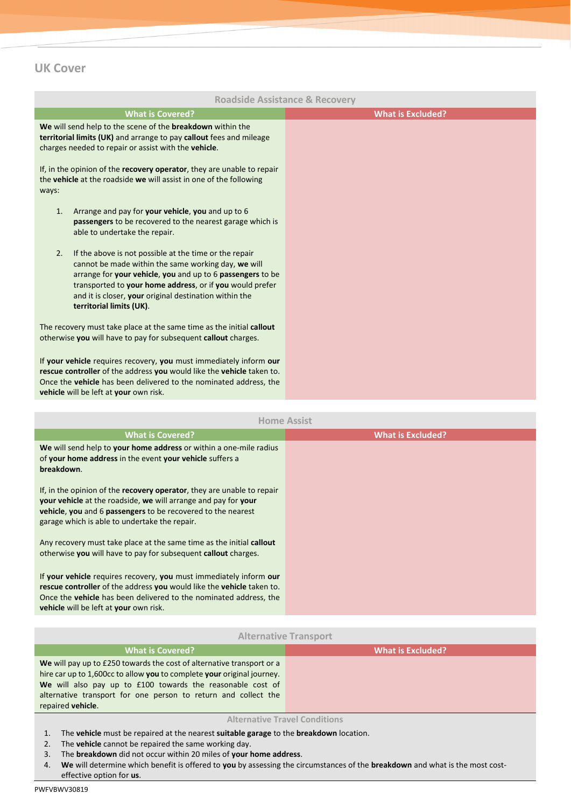# **UK Cover**

|                                                                                                                                                                                                                                                                                                                                     | <b>Roadside Assistance &amp; Recovery</b> |
|-------------------------------------------------------------------------------------------------------------------------------------------------------------------------------------------------------------------------------------------------------------------------------------------------------------------------------------|-------------------------------------------|
| <b>What is Covered?</b>                                                                                                                                                                                                                                                                                                             | <b>What is Excluded?</b>                  |
| We will send help to the scene of the breakdown within the<br>territorial limits (UK) and arrange to pay callout fees and mileage<br>charges needed to repair or assist with the vehicle.                                                                                                                                           |                                           |
| If, in the opinion of the recovery operator, they are unable to repair<br>the vehicle at the roadside we will assist in one of the following<br>ways:                                                                                                                                                                               |                                           |
| Arrange and pay for your vehicle, you and up to 6<br>1.<br>passengers to be recovered to the nearest garage which is<br>able to undertake the repair.                                                                                                                                                                               |                                           |
| 2.<br>If the above is not possible at the time or the repair<br>cannot be made within the same working day, we will<br>arrange for your vehicle, you and up to 6 passengers to be<br>transported to your home address, or if you would prefer<br>and it is closer, your original destination within the<br>territorial limits (UK). |                                           |
| The recovery must take place at the same time as the initial callout<br>otherwise you will have to pay for subsequent callout charges.                                                                                                                                                                                              |                                           |
| If your vehicle requires recovery, you must immediately inform our<br>rescue controller of the address you would like the vehicle taken to.<br>Once the vehicle has been delivered to the nominated address, the<br>vehicle will be left at your own risk.                                                                          |                                           |
|                                                                                                                                                                                                                                                                                                                                     | <b>Home Assist</b>                        |
| <b>What is Covered?</b>                                                                                                                                                                                                                                                                                                             | <b>What is Excluded?</b>                  |
| We will send help to your home address or within a one-mile radius<br>of your home address in the event your vehicle suffers a<br>breakdown.                                                                                                                                                                                        |                                           |
| If, in the opinion of the recovery operator, they are unable to repair<br>your vehicle at the roadside, we will arrange and pay for your<br>vehicle, you and 6 passengers to be recovered to the nearest<br>garage which is able to undertake the repair.                                                                           |                                           |
| Any recovery must take place at the same time as the initial callout<br>otherwise you will have to pay for subsequent callout charges.                                                                                                                                                                                              |                                           |
| If your vehicle requires recovery, you must immediately inform our<br>rescue controller of the address you would like the vehicle taken to.<br>Once the <b>vehicle</b> has been delivered to the nominated address, the<br>vehicle will be left at your own risk.                                                                   |                                           |
|                                                                                                                                                                                                                                                                                                                                     |                                           |
|                                                                                                                                                                                                                                                                                                                                     | <b>Alternative Transport</b>              |
| <b>What is Covered?</b>                                                                                                                                                                                                                                                                                                             | <b>What is Excluded?</b>                  |
| We will pay up to £250 towards the cost of alternative transport or a<br>hire car up to 1,600cc to allow you to complete your original journey.<br>We will also pay up to £100 towards the reasonable cost of<br>alternative transport for one person to return and collect the<br>repaired vehicle.                                |                                           |
| The vehicle must be repaired at the nearest suitable garage to the breakdown location.<br>1.                                                                                                                                                                                                                                        | <b>Alternative Travel Conditions</b>      |

- 2. The **vehicle** cannot be repaired the same working day.
- 3. The **breakdown** did not occur within 20 miles of **your home address**.
- 4. **We** will determine which benefit is offered to **you** by assessing the circumstances of the **breakdown** and what is the most costeffective option for **us**.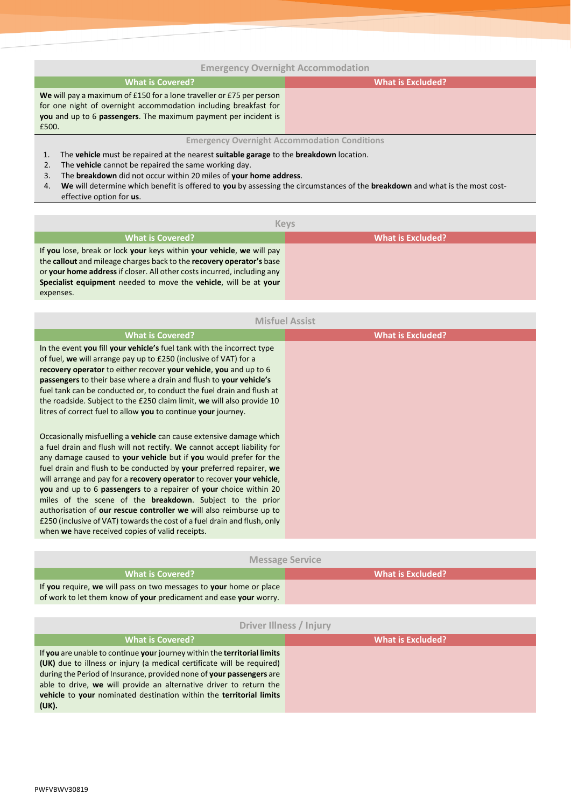# **Emergency Overnight Accommodation**

# **What is Covered? What is Excluded?**

**We** will pay a maximum of £150 for a lone traveller or £75 per person for one night of overnight accommodation including breakfast for **you** and up to 6 **passengers**. The maximum payment per incident is £500.

# **Emergency Overnight Accommodation Conditions**

- 1. The **vehicle** must be repaired at the nearest **suitable garage** to the **breakdown** location.
- 2. The **vehicle** cannot be repaired the same working day.
- 3. The **breakdown** did not occur within 20 miles of **your home address**.
- 4. **We** will determine which benefit is offered to **you** by assessing the circumstances of the **breakdown** and what is the most costeffective option for **us**.

| <b>Keys</b>                                                                                                                                                                                                                                                                                               |                          |
|-----------------------------------------------------------------------------------------------------------------------------------------------------------------------------------------------------------------------------------------------------------------------------------------------------------|--------------------------|
| What is Covered?                                                                                                                                                                                                                                                                                          | <b>What is Excluded?</b> |
| If you lose, break or lock your keys within your vehicle, we will pay<br>the callout and mileage charges back to the recovery operator's base<br>or your home address if closer. All other costs incurred, including any<br>Specialist equipment needed to move the vehicle, will be at your<br>expenses. |                          |

| <b>Misfuel Assist</b>                                                                                                                                                                                                                                                                                                                                                                                                                                                                                                                                                                                                                                                                                                      |                          |
|----------------------------------------------------------------------------------------------------------------------------------------------------------------------------------------------------------------------------------------------------------------------------------------------------------------------------------------------------------------------------------------------------------------------------------------------------------------------------------------------------------------------------------------------------------------------------------------------------------------------------------------------------------------------------------------------------------------------------|--------------------------|
| <b>What is Covered?</b>                                                                                                                                                                                                                                                                                                                                                                                                                                                                                                                                                                                                                                                                                                    | <b>What is Excluded?</b> |
| In the event you fill your vehicle's fuel tank with the incorrect type<br>of fuel, we will arrange pay up to £250 (inclusive of VAT) for a<br>recovery operator to either recover your vehicle, you and up to 6<br>passengers to their base where a drain and flush to your vehicle's<br>fuel tank can be conducted or, to conduct the fuel drain and flush at<br>the roadside. Subject to the £250 claim limit, we will also provide 10<br>litres of correct fuel to allow you to continue your journey.                                                                                                                                                                                                                  |                          |
| Occasionally misfuelling a <b>vehicle</b> can cause extensive damage which<br>a fuel drain and flush will not rectify. We cannot accept liability for<br>any damage caused to your vehicle but if you would prefer for the<br>fuel drain and flush to be conducted by your preferred repairer, we<br>will arrange and pay for a recovery operator to recover your vehicle,<br>you and up to 6 passengers to a repairer of your choice within 20<br>miles of the scene of the <b>breakdown</b> . Subject to the prior<br>authorisation of our rescue controller we will also reimburse up to<br>£250 (inclusive of VAT) towards the cost of a fuel drain and flush, only<br>when we have received copies of valid receipts. |                          |

| <b>Message Service</b>                                                                                                                  |                   |  |
|-----------------------------------------------------------------------------------------------------------------------------------------|-------------------|--|
| <b>What is Covered?</b>                                                                                                                 | What is Excluded? |  |
| If you require, we will pass on two messages to your home or place<br>of work to let them know of your predicament and ease your worry. |                   |  |
|                                                                                                                                         |                   |  |

| Driver Illness / Injury                                                                                                                                                                                                                                                                                                                                                          |                          |  |
|----------------------------------------------------------------------------------------------------------------------------------------------------------------------------------------------------------------------------------------------------------------------------------------------------------------------------------------------------------------------------------|--------------------------|--|
| <b>What is Covered?</b>                                                                                                                                                                                                                                                                                                                                                          | <b>What is Excluded?</b> |  |
| If you are unable to continue your journey within the territorial limits<br>(UK) due to illness or injury (a medical certificate will be required)<br>during the Period of Insurance, provided none of your passengers are<br>able to drive, we will provide an alternative driver to return the<br>vehicle to your nominated destination within the territorial limits<br>(UK). |                          |  |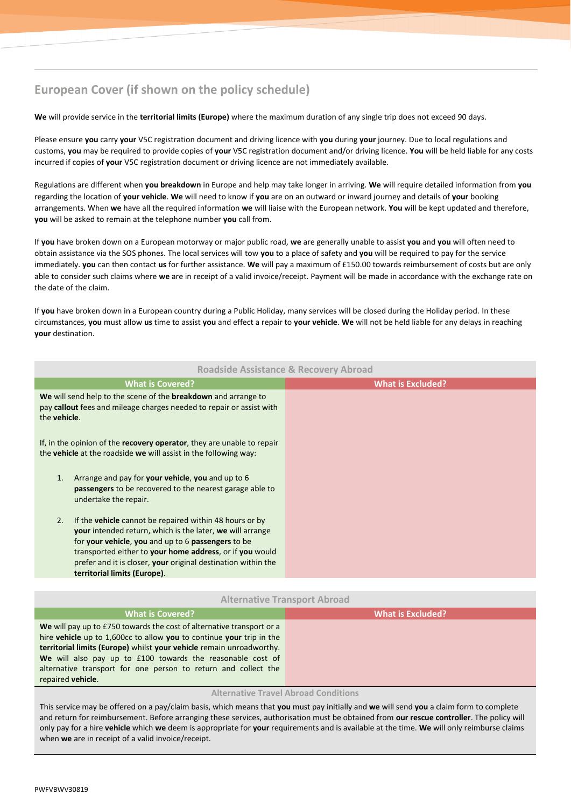# **European Cover (if shown on the policy schedule)**

**We** will provide service in the **territorial limits (Europe)** where the maximum duration of any single trip does not exceed 90 days.

Please ensure **you** carry **your** V5C registration document and driving licence with **you** during **your** journey. Due to local regulations and customs, **you** may be required to provide copies of **your** V5C registration document and/or driving licence. **You** will be held liable for any costs incurred if copies of **your** V5C registration document or driving licence are not immediately available.

Regulations are different when **you breakdown** in Europe and help may take longer in arriving. **We** will require detailed information from **you** regarding the location of **your vehicle**. **We** will need to know if **you** are on an outward or inward journey and details of **your** booking arrangements. When **we** have all the required information **we** will liaise with the European network. **You** will be kept updated and therefore, **you** will be asked to remain at the telephone number **you** call from.

If **you** have broken down on a European motorway or major public road, **we** are generally unable to assist **you** and **you** will often need to obtain assistance via the SOS phones. The local services will tow **you** to a place of safety and **you** will be required to pay for the service immediately. **you** can then contact **us** for further assistance. **We** will pay a maximum of £150.00 towards reimbursement of costs but are only able to consider such claims where **we** are in receipt of a valid invoice/receipt. Payment will be made in accordance with the exchange rate on the date of the claim.

If **you** have broken down in a European country during a Public Holiday, many services will be closed during the Holiday period. In these circumstances, **you** must allow **us** time to assist **you** and effect a repair to **your vehicle**. **We** will not be held liable for any delays in reaching **your** destination.

| <b>Roadside Assistance &amp; Recovery Abroad</b>                                                                                                                                                                                                                                                                                                            |                          |
|-------------------------------------------------------------------------------------------------------------------------------------------------------------------------------------------------------------------------------------------------------------------------------------------------------------------------------------------------------------|--------------------------|
| <b>What is Covered?</b>                                                                                                                                                                                                                                                                                                                                     | <b>What is Excluded?</b> |
| We will send help to the scene of the <b>breakdown</b> and arrange to<br>pay callout fees and mileage charges needed to repair or assist with<br>the <b>vehicle</b> .                                                                                                                                                                                       |                          |
| If, in the opinion of the recovery operator, they are unable to repair<br>the vehicle at the roadside we will assist in the following way:                                                                                                                                                                                                                  |                          |
| Arrange and pay for your vehicle, you and up to 6<br>1.<br>passengers to be recovered to the nearest garage able to<br>undertake the repair.                                                                                                                                                                                                                |                          |
| If the <b>vehicle</b> cannot be repaired within 48 hours or by<br>2.<br><b>your</b> intended return, which is the later, we will arrange<br>for your vehicle, you and up to 6 passengers to be<br>transported either to your home address, or if you would<br>prefer and it is closer, your original destination within the<br>territorial limits (Europe). |                          |
|                                                                                                                                                                                                                                                                                                                                                             |                          |

# **Alternative Transport Abroad**

| <b>What is Covered?</b>                                                                                                                                                                                                                                                                                                                                                    | What is Excluded? |
|----------------------------------------------------------------------------------------------------------------------------------------------------------------------------------------------------------------------------------------------------------------------------------------------------------------------------------------------------------------------------|-------------------|
| We will pay up to £750 towards the cost of alternative transport or a<br>hire vehicle up to 1,600cc to allow you to continue your trip in the<br>territorial limits (Europe) whilst your vehicle remain unroadworthy.<br>We will also pay up to £100 towards the reasonable cost of<br>alternative transport for one person to return and collect the<br>repaired vehicle. |                   |
|                                                                                                                                                                                                                                                                                                                                                                            |                   |

#### **Alternative Travel Abroad Conditions**

This service may be offered on a pay/claim basis, which means that **you** must pay initially and **we** will send **you** a claim form to complete and return for reimbursement. Before arranging these services, authorisation must be obtained from **our rescue controller**. The policy will only pay for a hire **vehicle** which **we** deem is appropriate for **your** requirements and is available at the time. **We** will only reimburse claims when **we** are in receipt of a valid invoice/receipt.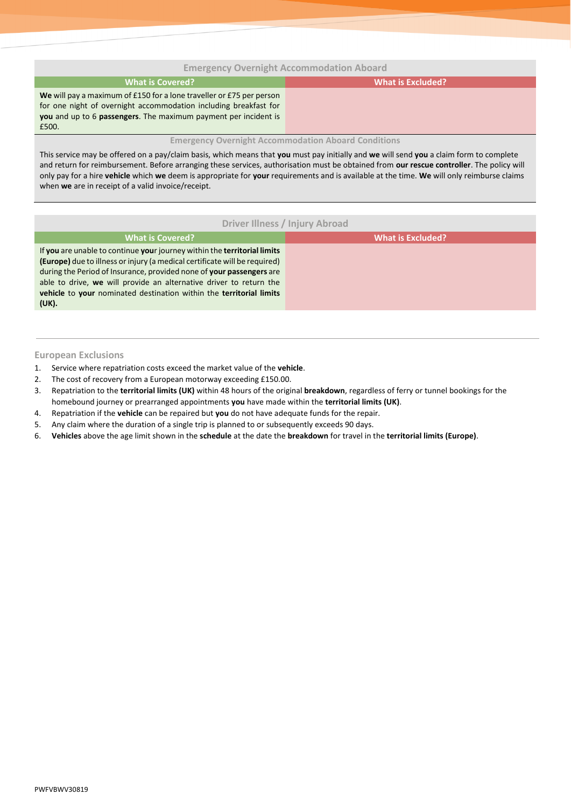# **Emergency Overnight Accommodation Aboard**

| What is Covered?                                                     | What is Excluded? |
|----------------------------------------------------------------------|-------------------|
| We will pay a maximum of £150 for a lone traveller or £75 per person |                   |
| for one night of overnight accommodation including breakfast for     |                   |
| you and up to 6 passengers. The maximum payment per incident is      |                   |
| £500.                                                                |                   |

# **Emergency Overnight Accommodation Aboard Conditions**

This service may be offered on a pay/claim basis, which means that **you** must pay initially and **we** will send **you** a claim form to complete and return for reimbursement. Before arranging these services, authorisation must be obtained from **our rescue controller**. The policy will only pay for a hire **vehicle** which **we** deem is appropriate for **your** requirements and is available at the time. **We** will only reimburse claims when **we** are in receipt of a valid invoice/receipt.

# **Driver Illness / Injury Abroad**

| <b>What is Covered?</b>                                                    | What is Excluded? |
|----------------------------------------------------------------------------|-------------------|
| If you are unable to continue your journey within the territorial limits   |                   |
| (Europe) due to illness or injury (a medical certificate will be required) |                   |
| during the Period of Insurance, provided none of your passengers are       |                   |
| able to drive, we will provide an alternative driver to return the         |                   |
| vehicle to your nominated destination within the territorial limits        |                   |
| (UK).                                                                      |                   |

# **European Exclusions**

- 1. Service where repatriation costs exceed the market value of the **vehicle**.
- 2. The cost of recovery from a European motorway exceeding £150.00.
- 3. Repatriation to the **territorial limits (UK)** within 48 hours of the original **breakdown**, regardless of ferry or tunnel bookings for the homebound journey or prearranged appointments **you** have made within the **territorial limits (UK)**.
- 4. Repatriation if the **vehicle** can be repaired but **you** do not have adequate funds for the repair.
- 5. Any claim where the duration of a single trip is planned to or subsequently exceeds 90 days.
- 6. **Vehicles** above the age limit shown in the **schedule** at the date the **breakdown** for travel in the **territorial limits (Europe)**.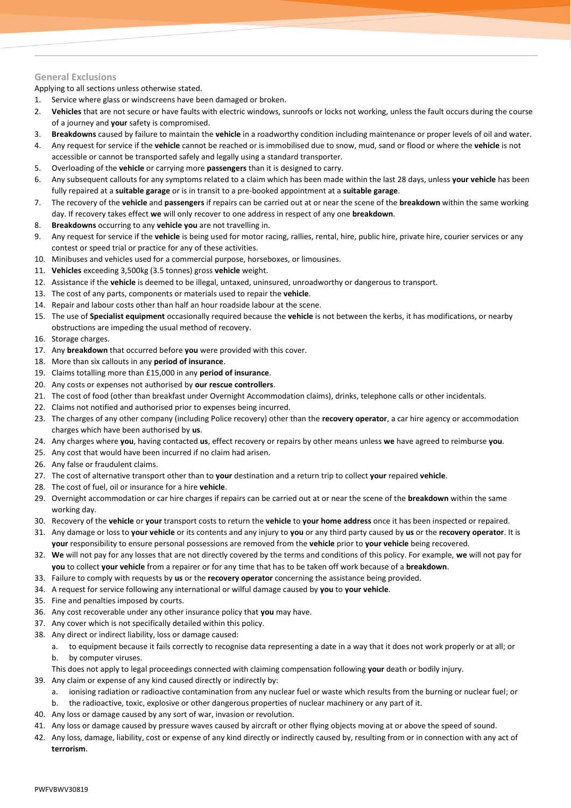# **General Exclusions**

Applying to all sections unless otherwise stated.

- 1. Service where glass or windscreens have been damaged or broken.
- 2. **Vehicles** that are not secure or have faults with electric windows, sunroofs or locks not working, unless the fault occurs during the course of a journey and **your** safety is compromised.
- 3. **Breakdowns** caused by failure to maintain the **vehicle** in a roadworthy condition including maintenance or proper levels of oil and water.
- 4. Any request for service if the **vehicle** cannot be reached or is immobilised due to snow, mud, sand or flood or where the **vehicle** is not accessible or cannot be transported safely and legally using a standard transporter.
- 5. Overloading of the **vehicle** or carrying more **passengers** than it is designed to carry.
- 6. Any subsequent callouts for any symptoms related to a claim which has been made within the last 28 days, unless **your vehicle** has been fully repaired at a **suitable garage** or is in transit to a pre-booked appointment at a **suitable garage**.
- 7. The recovery of the **vehicle** and **passengers** if repairs can be carried out at or near the scene of the **breakdown** within the same working day. If recovery takes effect **we** will only recover to one address in respect of any one **breakdown**.
- 8. **Breakdowns** occurring to any **vehicle you** are not travelling in.
- 9. Any request for service if the **vehicle** is being used for motor racing, rallies, rental, hire, public hire, private hire, courier services or any contest or speed trial or practice for any of these activities.
- 10. Minibuses and vehicles used for a commercial purpose, horseboxes, or limousines.
- 11. **Vehicles** exceeding 3,500kg (3.5 tonnes) gross **vehicle** weight.
- 12. Assistance if the **vehicle** is deemed to be illegal, untaxed, uninsured, unroadworthy or dangerous to transport.
- 13. The cost of any parts, components or materials used to repair the **vehicle**.
- 14. Repair and labour costs other than half an hour roadside labour at the scene.
- 15. The use of **Specialist equipment** occasionally required because the **vehicle** is not between the kerbs, it has modifications, or nearby obstructions are impeding the usual method of recovery.
- 16. Storage charges.
- 17. Any **breakdown** that occurred before **you** were provided with this cover.
- 18. More than six callouts in any **period of insurance**.
- 19. Claims totalling more than £15,000 in any **period of insurance**.
- 20. Any costs or expenses not authorised by **our rescue controllers**.
- 21. The cost of food (other than breakfast under Overnight Accommodation claims), drinks, telephone calls or other incidentals.
- 22. Claims not notified and authorised prior to expenses being incurred.
- 23. The charges of any other company (including Police recovery) other than the **recovery operator**, a car hire agency or accommodation charges which have been authorised by **us**.
- 24. Any charges where **you**, having contacted **us**, effect recovery or repairs by other means unless **we** have agreed to reimburse **you**.
- 25. Any cost that would have been incurred if no claim had arisen.
- 26. Any false or fraudulent claims.
- 27. The cost of alternative transport other than to **your** destination and a return trip to collect **your** repaired **vehicle**.
- 28. The cost of fuel, oil or insurance for a hire **vehicle**.
- 29. Overnight accommodation or car hire charges if repairs can be carried out at or near the scene of the **breakdown** within the same working day.
- 30. Recovery of the **vehicle** or **your** transport costs to return the **vehicle** to **your home address** once it has been inspected or repaired.
- 31. Any damage or loss to **your vehicle** or its contents and any injury to **you** or any third party caused by **us** or the **recovery operator**. It is **your** responsibility to ensure personal possessions are removed from the **vehicle** prior to **your vehicle** being recovered.
- 32. **We** will not pay for any losses that are not directly covered by the terms and conditions of this policy. For example, **we** will not pay for **you** to collect **your vehicle** from a repairer or for any time that has to be taken off work because of a **breakdown**.
- 33. Failure to comply with requests by **us** or the **recovery operator** concerning the assistance being provided.
- 34. A request for service following any international or wilful damage caused by **you** to **your vehicle**.
- 35. Fine and penalties imposed by courts.
- 36. Any cost recoverable under any other insurance policy that **you** may have.
- 37. Any cover which is not specifically detailed within this policy.
- 38. Any direct or indirect liability, loss or damage caused:
	- a. to equipment because it fails correctly to recognise data representing a date in a way that it does not work properly or at all; or b. by computer viruses.
	- This does not apply to legal proceedings connected with claiming compensation following **your** death or bodily injury.
- 39. Any claim or expense of any kind caused directly or indirectly by:
	- a. ionising radiation or radioactive contamination from any nuclear fuel or waste which results from the burning or nuclear fuel; or
	- b. the radioactive, toxic, explosive or other dangerous properties of nuclear machinery or any part of it.
- 40. Any loss or damage caused by any sort of war, invasion or revolution.
- 41. Any loss or damage caused by pressure waves caused by aircraft or other flying objects moving at or above the speed of sound.
- 42. Any loss, damage, liability, cost or expense of any kind directly or indirectly caused by, resulting from or in connection with any act of **terrorism**.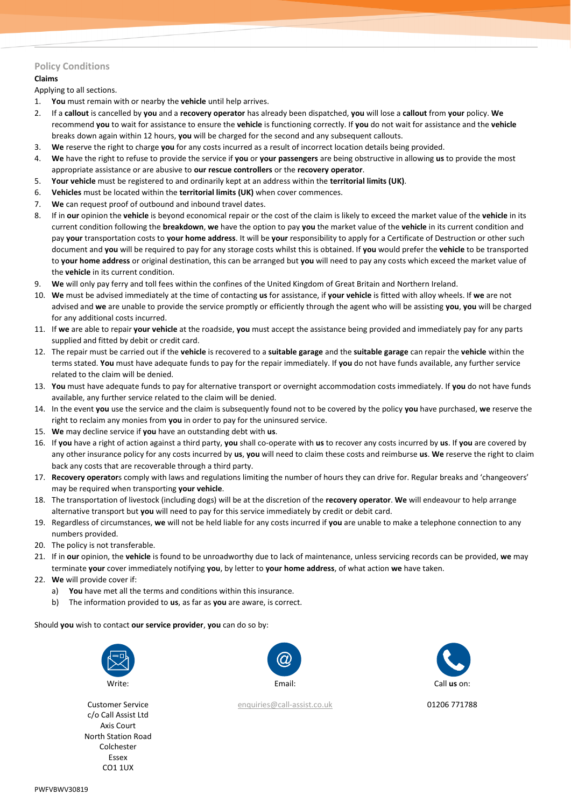# **Policy Conditions**

# **Claims**

Applying to all sections.

- 1. **You** must remain with or nearby the **vehicle** until help arrives.
- 2. If a **callout** is cancelled by **you** and a **recovery operator** has already been dispatched, **you** will lose a **callout** from **your** policy. **We** recommend **you** to wait for assistance to ensure the **vehicle** is functioning correctly. If **you** do not wait for assistance and the **vehicle** breaks down again within 12 hours, **you** will be charged for the second and any subsequent callouts.
- 3. **We** reserve the right to charge **you** for any costs incurred as a result of incorrect location details being provided.
- 4. **We** have the right to refuse to provide the service if **you** or **your passengers** are being obstructive in allowing **us** to provide the most appropriate assistance or are abusive to **our rescue controllers** or the **recovery operator**.
- 5. **Your vehicle** must be registered to and ordinarily kept at an address within the **territorial limits (UK)**.
- 6. **Vehicles** must be located within the **territorial limits (UK)** when cover commences.
- 7. **We** can request proof of outbound and inbound travel dates.
- 8. If in **our** opinion the **vehicle** is beyond economical repair or the cost of the claim is likely to exceed the market value of the **vehicle** in its current condition following the **breakdown**, **we** have the option to pay **you** the market value of the **vehicle** in its current condition and pay **your** transportation costs to **your home address**. It will be **your** responsibility to apply for a Certificate of Destruction or other such document and **you** will be required to pay for any storage costs whilst this is obtained. If **you** would prefer the **vehicle** to be transported to **your home address** or original destination, this can be arranged but **you** will need to pay any costs which exceed the market value of the **vehicle** in its current condition.
- 9. **We** will only pay ferry and toll fees within the confines of the United Kingdom of Great Britain and Northern Ireland.
- 10. **We** must be advised immediately at the time of contacting **us** for assistance, if **your vehicle** is fitted with alloy wheels. If **we** are not advised and **we** are unable to provide the service promptly or efficiently through the agent who will be assisting **you**, **you** will be charged for any additional costs incurred.
- 11. If **we** are able to repair **your vehicle** at the roadside, **you** must accept the assistance being provided and immediately pay for any parts supplied and fitted by debit or credit card.
- 12. The repair must be carried out if the **vehicle** is recovered to a **suitable garage** and the **suitable garage** can repair the **vehicle** within the terms stated. **You** must have adequate funds to pay for the repair immediately. If **you** do not have funds available, any further service related to the claim will be denied.
- 13. **You** must have adequate funds to pay for alternative transport or overnight accommodation costs immediately. If **you** do not have funds available, any further service related to the claim will be denied.
- 14. In the event **you** use the service and the claim is subsequently found not to be covered by the policy **you** have purchased, **we** reserve the right to reclaim any monies from **you** in order to pay for the uninsured service.
- 15. **We** may decline service if **you** have an outstanding debt with **us**.
- 16. If **you** have a right of action against a third party, **you** shall co-operate with **us** to recover any costs incurred by **us**. If **you** are covered by any other insurance policy for any costs incurred by **us**, **you** will need to claim these costs and reimburse **us**. **We** reserve the right to claim back any costs that are recoverable through a third party.
- 17. **Recovery operator**s comply with laws and regulations limiting the number of hours they can drive for. Regular breaks and 'changeovers' may be required when transporting **your vehicle**.
- 18. The transportation of livestock (including dogs) will be at the discretion of the **recovery operator**. **We** will endeavour to help arrange alternative transport but **you** will need to pay for this service immediately by credit or debit card.
- 19. Regardless of circumstances, **we** will not be held liable for any costs incurred if **you** are unable to make a telephone connection to any numbers provided.
- 20. The policy is not transferable.
- 21. If in **our** opinion, the **vehicle** is found to be unroadworthy due to lack of maintenance, unless servicing records can be provided, **we** may terminate **your** cover immediately notifying **you**, by letter to **your home address**, of what action **we** have taken.
- 22. **We** will provide cover if:
	- a) **You** have met all the terms and conditions within this insurance.
	- b) The information provided to **us**, as far as **you** are aware, is correct.

Should **you** wish to contact **our service provider**, **you** can do so by:



Customer Service c/o Call Assist Ltd Axis Court North Station Road Colchester Essex CO1 1UX



[enquiries@call-assist.co.uk](mailto:enquiries@call-assist.co.uk) 01206 771788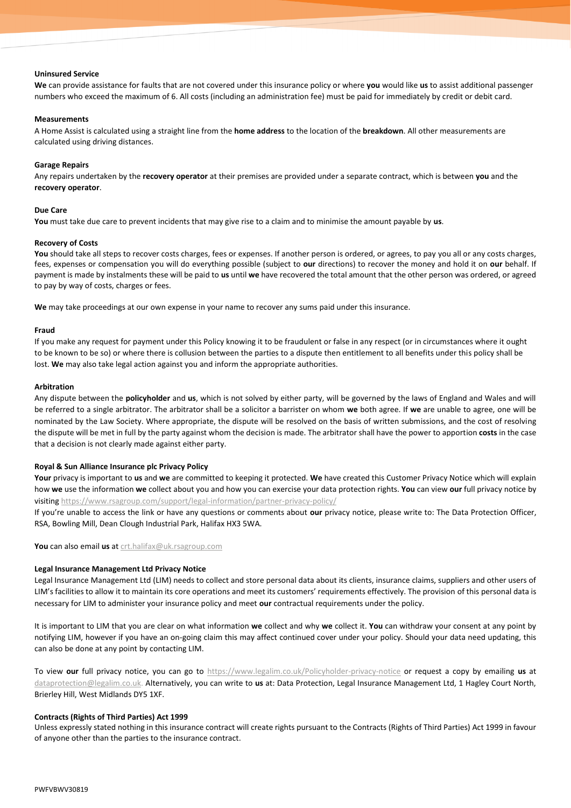#### **Uninsured Service**

**We** can provide assistance for faults that are not covered under this insurance policy or where **you** would like **us** to assist additional passenger numbers who exceed the maximum of 6. All costs (including an administration fee) must be paid for immediately by credit or debit card.

#### **Measurements**

A Home Assist is calculated using a straight line from the **home address** to the location of the **breakdown**. All other measurements are calculated using driving distances.

## **Garage Repairs**

Any repairs undertaken by the **recovery operator** at their premises are provided under a separate contract, which is between **you** and the **recovery operator**.

## **Due Care**

**You** must take due care to prevent incidents that may give rise to a claim and to minimise the amount payable by **us**.

## **Recovery of Costs**

You should take all steps to recover costs charges, fees or expenses. If another person is ordered, or agrees, to pay you all or any costs charges, fees, expenses or compensation you will do everything possible (subject to **our** directions) to recover the money and hold it on **our** behalf. If payment is made by instalments these will be paid to **us** until **we** have recovered the total amount that the other person was ordered, or agreed to pay by way of costs, charges or fees.

**We** may take proceedings at our own expense in your name to recover any sums paid under this insurance.

## **Fraud**

If you make any request for payment under this Policy knowing it to be fraudulent or false in any respect (or in circumstances where it ought to be known to be so) or where there is collusion between the parties to a dispute then entitlement to all benefits under this policy shall be lost. **We** may also take legal action against you and inform the appropriate authorities.

#### **Arbitration**

Any dispute between the **policyholder** and **us**, which is not solved by either party, will be governed by the laws of England and Wales and will be referred to a single arbitrator. The arbitrator shall be a solicitor a barrister on whom **we** both agree. If **we** are unable to agree, one will be nominated by the Law Society. Where appropriate, the dispute will be resolved on the basis of written submissions, and the cost of resolving the dispute will be met in full by the party against whom the decision is made. The arbitrator shall have the power to apportion **costs** in the case that a decision is not clearly made against either party.

# **Royal & Sun Alliance Insurance plc Privacy Policy**

**Your** privacy is important to **us** and **we** are committed to keeping it protected. **We** have created this Customer Privacy Notice which will explain how **we** use the information **we** collect about you and how you can exercise your data protection rights. **You** can view **our** full privacy notice by visiting<https://www.rsagroup.com/support/legal-information/partner-privacy-policy/>

If you're unable to access the link or have any questions or comments about **our** privacy notice, please write to: The Data Protection Officer, RSA, Bowling Mill, Dean Clough Industrial Park, Halifax HX3 5WA.

**You** can also email **us** at [crt.halifax@uk.rsagroup.com](mailto:crt.halifax@uk.rsagroup.com)

#### **Legal Insurance Management Ltd Privacy Notice**

Legal Insurance Management Ltd (LIM) needs to collect and store personal data about its clients, insurance claims, suppliers and other users of LIM's facilities to allow it to maintain its core operations and meet its customers' requirements effectively. The provision of this personal data is necessary for LIM to administer your insurance policy and meet **our** contractual requirements under the policy.

It is important to LIM that you are clear on what information **we** collect and why **we** collect it. **You** can withdraw your consent at any point by notifying LIM, however if you have an on-going claim this may affect continued cover under your policy. Should your data need updating, this can also be done at any point by contacting LIM.

To view **our** full privacy notice, you can go to [https://www.legalim.co.uk/Policyholder-privacy-notice](https://www.legalim.co.uk/policyholder-privacy-notice) or request a copy by emailing **us** at [dataprotection@legalim.co.uk.](mailto:dataprotection@legalim.co.uk) Alternatively, you can write to **us** at: Data Protection, Legal Insurance Management Ltd, 1 Hagley Court North, Brierley Hill, West Midlands DY5 1XF.

#### **Contracts (Rights of Third Parties) Act 1999**

Unless expressly stated nothing in this insurance contract will create rights pursuant to the Contracts (Rights of Third Parties) Act 1999 in favour of anyone other than the parties to the insurance contract.